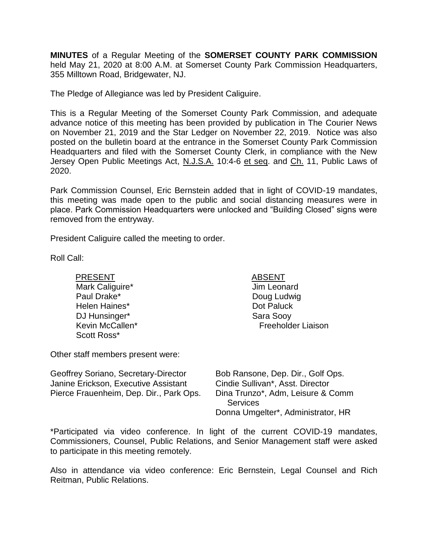**MINUTES** of a Regular Meeting of the **SOMERSET COUNTY PARK COMMISSION** held May 21, 2020 at 8:00 A.M. at Somerset County Park Commission Headquarters, 355 Milltown Road, Bridgewater, NJ.

The Pledge of Allegiance was led by President Caliguire.

This is a Regular Meeting of the Somerset County Park Commission, and adequate advance notice of this meeting has been provided by publication in The Courier News on November 21, 2019 and the Star Ledger on November 22, 2019. Notice was also posted on the bulletin board at the entrance in the Somerset County Park Commission Headquarters and filed with the Somerset County Clerk, in compliance with the New Jersey Open Public Meetings Act, N.J.S.A. 10:4-6 et seq. and Ch. 11, Public Laws of 2020.

Park Commission Counsel, Eric Bernstein added that in light of COVID-19 mandates, this meeting was made open to the public and social distancing measures were in place. Park Commission Headquarters were unlocked and "Building Closed" signs were removed from the entryway.

President Caliguire called the meeting to order.

Roll Call:

PRESENT ABSENT Mark Caliguire\* Paul Drake\* Helen Haines\* DJ Hunsinger\* Kevin McCallen\* Scott Ross\*

Jim Leonard Doug Ludwig Dot Paluck Sara Sooy Freeholder Liaison

Other staff members present were:

| Bob Ransone, Dep. Dir., Golf Ops.  |
|------------------------------------|
| Cindie Sullivan*, Asst. Director   |
| Dina Trunzo*, Adm, Leisure & Comm  |
| <b>Services</b>                    |
| Donna Umgelter*, Administrator, HR |
|                                    |

\*Participated via video conference. In light of the current COVID-19 mandates, Commissioners, Counsel, Public Relations, and Senior Management staff were asked to participate in this meeting remotely.

Also in attendance via video conference: Eric Bernstein, Legal Counsel and Rich Reitman, Public Relations.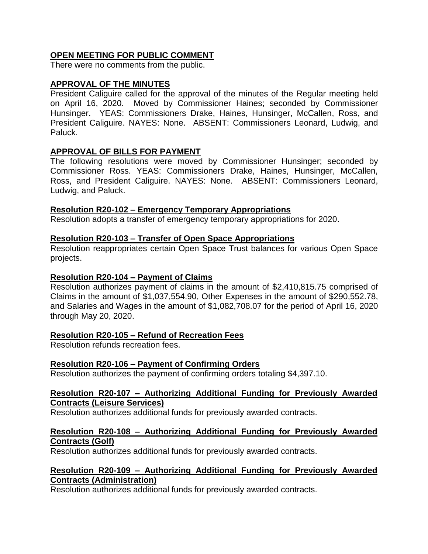# **OPEN MEETING FOR PUBLIC COMMENT**

There were no comments from the public.

# **APPROVAL OF THE MINUTES**

President Caliguire called for the approval of the minutes of the Regular meeting held on April 16, 2020. Moved by Commissioner Haines; seconded by Commissioner Hunsinger. YEAS: Commissioners Drake, Haines, Hunsinger, McCallen, Ross, and President Caliguire. NAYES: None. ABSENT: Commissioners Leonard, Ludwig, and Paluck.

## **APPROVAL OF BILLS FOR PAYMENT**

The following resolutions were moved by Commissioner Hunsinger; seconded by Commissioner Ross. YEAS: Commissioners Drake, Haines, Hunsinger, McCallen, Ross, and President Caliguire. NAYES: None. ABSENT: Commissioners Leonard, Ludwig, and Paluck.

## **Resolution R20-102 – Emergency Temporary Appropriations**

Resolution adopts a transfer of emergency temporary appropriations for 2020.

### **Resolution R20-103 – Transfer of Open Space Appropriations**

Resolution reappropriates certain Open Space Trust balances for various Open Space projects.

### **Resolution R20-104 – Payment of Claims**

Resolution authorizes payment of claims in the amount of \$2,410,815.75 comprised of Claims in the amount of \$1,037,554.90, Other Expenses in the amount of \$290,552.78, and Salaries and Wages in the amount of \$1,082,708.07 for the period of April 16, 2020 through May 20, 2020.

## **Resolution R20-105 – Refund of Recreation Fees**

Resolution refunds recreation fees.

## **Resolution R20-106 – Payment of Confirming Orders**

Resolution authorizes the payment of confirming orders totaling \$4,397.10.

### **Resolution R20-107 – Authorizing Additional Funding for Previously Awarded Contracts (Leisure Services)**

Resolution authorizes additional funds for previously awarded contracts.

## **Resolution R20-108 – Authorizing Additional Funding for Previously Awarded Contracts (Golf)**

Resolution authorizes additional funds for previously awarded contracts.

### **Resolution R20-109 – Authorizing Additional Funding for Previously Awarded Contracts (Administration)**

Resolution authorizes additional funds for previously awarded contracts.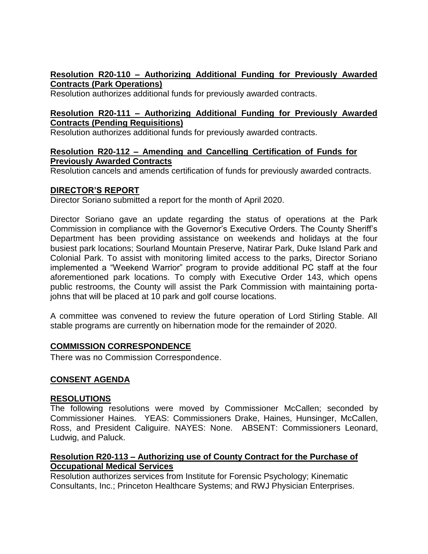# **Resolution R20-110 – Authorizing Additional Funding for Previously Awarded Contracts (Park Operations)**

Resolution authorizes additional funds for previously awarded contracts.

## **Resolution R20-111 – Authorizing Additional Funding for Previously Awarded Contracts (Pending Requisitions)**

Resolution authorizes additional funds for previously awarded contracts.

### **Resolution R20-112 – Amending and Cancelling Certification of Funds for Previously Awarded Contracts**

Resolution cancels and amends certification of funds for previously awarded contracts.

# **DIRECTOR'S REPORT**

Director Soriano submitted a report for the month of April 2020.

Director Soriano gave an update regarding the status of operations at the Park Commission in compliance with the Governor's Executive Orders. The County Sheriff's Department has been providing assistance on weekends and holidays at the four busiest park locations; Sourland Mountain Preserve, Natirar Park, Duke Island Park and Colonial Park. To assist with monitoring limited access to the parks, Director Soriano implemented a "Weekend Warrior" program to provide additional PC staff at the four aforementioned park locations. To comply with Executive Order 143, which opens public restrooms, the County will assist the Park Commission with maintaining portajohns that will be placed at 10 park and golf course locations.

A committee was convened to review the future operation of Lord Stirling Stable. All stable programs are currently on hibernation mode for the remainder of 2020.

## **COMMISSION CORRESPONDENCE**

There was no Commission Correspondence.

## **CONSENT AGENDA**

## **RESOLUTIONS**

The following resolutions were moved by Commissioner McCallen; seconded by Commissioner Haines. YEAS: Commissioners Drake, Haines, Hunsinger, McCallen, Ross, and President Caliguire. NAYES: None. ABSENT: Commissioners Leonard, Ludwig, and Paluck.

## **Resolution R20-113 – Authorizing use of County Contract for the Purchase of Occupational Medical Services**

Resolution authorizes services from Institute for Forensic Psychology; Kinematic Consultants, Inc.; Princeton Healthcare Systems; and RWJ Physician Enterprises.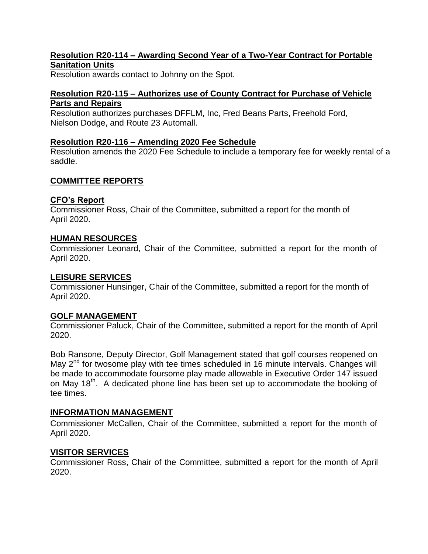# **Resolution R20-114 – Awarding Second Year of a Two-Year Contract for Portable Sanitation Units**

Resolution awards contact to Johnny on the Spot.

# **Resolution R20-115 – Authorizes use of County Contract for Purchase of Vehicle Parts and Repairs**

Resolution authorizes purchases DFFLM, Inc, Fred Beans Parts, Freehold Ford, Nielson Dodge, and Route 23 Automall.

## **Resolution R20-116** *–* **Amending 2020 Fee Schedule**

Resolution amends the 2020 Fee Schedule to include a temporary fee for weekly rental of a saddle.

# **COMMITTEE REPORTS**

## **CFO's Report**

Commissioner Ross, Chair of the Committee, submitted a report for the month of April 2020.

## **HUMAN RESOURCES**

Commissioner Leonard, Chair of the Committee, submitted a report for the month of April 2020.

### **LEISURE SERVICES**

Commissioner Hunsinger, Chair of the Committee, submitted a report for the month of April 2020.

## **GOLF MANAGEMENT**

Commissioner Paluck, Chair of the Committee, submitted a report for the month of April 2020.

Bob Ransone, Deputy Director, Golf Management stated that golf courses reopened on May  $2^{nd}$  for twosome play with tee times scheduled in 16 minute intervals. Changes will be made to accommodate foursome play made allowable in Executive Order 147 issued on May 18<sup>th</sup>. A dedicated phone line has been set up to accommodate the booking of tee times.

## **INFORMATION MANAGEMENT**

Commissioner McCallen, Chair of the Committee, submitted a report for the month of April 2020.

## **VISITOR SERVICES**

Commissioner Ross, Chair of the Committee, submitted a report for the month of April 2020.